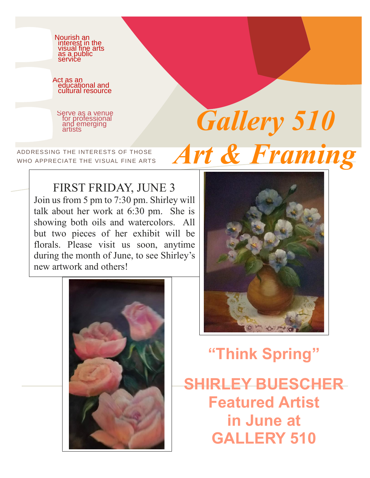

### FIRST FRIDAY, JUNE 3

Join us from 5 pm to 7:30 pm. Shirley will talk about her work at 6:30 pm. She is showing both oils and watercolors. All but two pieces of her exhibit will be florals. Please visit us soon, anytime during the month of June, to see Shirley's new artwork and others!





# **"Think Spring"**

**SHIRLEY BUESCHER Featured Artist in June at GALLERY 510**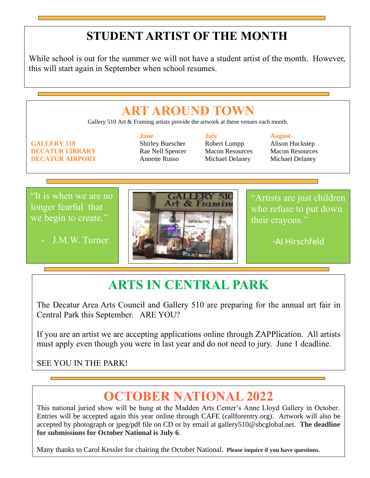## **STUDENT ARTIST OF THE MONTH**

While school is out for the summer we will not have a student artist of the month. However, this will start again in September when school resumes.

# **ART AROUND TOWN** Gallery 510 Art & Framing artists provide the artwork at these venues each month. **June July August GALLERY 510** Shirley Buescher Robert Lumpp Alison Huckstep **DECATUR LIBRARY** Rae Nell Spencer Macon Resources Macon Resources **DECATUR AIRPORT** Annette Russo Michael Delaney Michael Delaney

"It is when we are no longer fearful that we begin to create."

- J.M.W. Turner



"Artists are just children who refuse to put down their crayons."

-Al Hirschfeld

-

## **ARTS IN CENTRAL PARK**

The Decatur Area Arts Council and Gallery 510 are preparing for the annual art fair in Central Park this September. ARE YOU?

If you are an artist we are accepting applications online through ZAPPlication. All artists must apply even though you were in last year and do not need to jury. June 1 deadline.

#### SEE YOU IN THE PARK!

## **OCTOBER NATIONAL 2022**

This national juried show will be hung at the Madden Arts Center's Anne Lloyd Gallery in October. Entries will be accepted again this year online through CAFE (callforentry.org). Artwork will also be accepted by photograph or jpeg/pdf file on CD or by email at gallery510@sbcglobal.net. **The deadline for submissions for October National is July 6**.

Many thanks to Carol Kessler for chairing the October National. **Please inquire if you have questions.**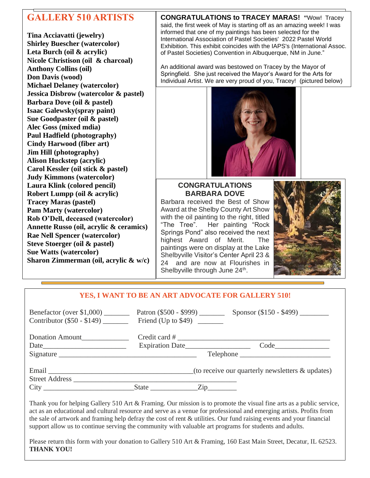### **GALLERY 510 ARTISTS**

**Tina Acciavatti (jewelry) Shirley Buescher (watercolor) Leta Burch (oil & acrylic) Nicole Christison (oil & charcoal) Anthony Collins (oil) Don Davis (wood) Michael Delaney (watercolor) Jessica Disbrow (watercolor & pastel) Barbara Dove (oil & pastel) Isaac Galewsky(spray paint) Sue Goodpaster (oil & pastel) Alec Goss (mixed mdia) Paul Hadfield (photography) Cindy Harwood (fiber art) Jim Hill (photography) Alison Huckstep (acrylic) Carol Kessler (oil stick & pastel) Judy Kimmons (watercolor) Laura Klink (colored pencil) Robert Lumpp (oil & acrylic) Tracey Maras (pastel) Pam Marty (watercolor) Rob O'Dell, deceased (watercolor) Annette Russo (oil, acrylic & ceramics) Rae Nell Spencer (watercolor) Steve Stoerger (oil & pastel) Sue Watts (watercolor) Sharon Zimmerman (oil, acrylic & w/c)** 

**CONGRATULATIONS to TRACEY MARAS! "**Wow! Tracey said, the first week of May is starting off as an amazing week! I was informed that one of my paintings has been selected for the International Association of Pastel Societies' 2022 Pastel World Exhibition. This exhibit coincides with the IAPS's (International Assoc. of Pastel Societies) Convention in Albuquerque, NM in June."

An additional award was bestowed on Tracey by the Mayor of Springfield. She just received the Mayor's Award for the Arts for Individual Artist. We are very proud of you, Tracey! (pictured below)



#### **CONGRATULATIONS BARBARA DOVE**

Barbara received the Best of Show Award at the Shelby County Art Show with the oil painting to the right, titled "The Tree". Her painting "Rock Springs Pond" also received the next highest Award of Merit. The paintings were on display at the Lake Shelbyville Visitor's Center April 23 & 24 and are now at Flourishes in Shelbyville through June 24<sup>th</sup>.



#### **YES, I WANT TO BE AN ART ADVOCATE FOR GALLERY 510!**

| Benefactor (over $$1,000$ )<br>Contributor $(\$50 - \$149)$ Friend (Up to \$49)                                                                                                                                                |                 |                                                                                                                  |
|--------------------------------------------------------------------------------------------------------------------------------------------------------------------------------------------------------------------------------|-----------------|------------------------------------------------------------------------------------------------------------------|
| Donation Amount                                                                                                                                                                                                                |                 |                                                                                                                  |
|                                                                                                                                                                                                                                | Expiration Date |                                                                                                                  |
| Signature                                                                                                                                                                                                                      |                 | Telephone                                                                                                        |
| Email experience and the contract of the contract of the contract of the contract of the contract of the contract of the contract of the contract of the contract of the contract of the contract of the contract of the contr |                 | (to receive our quarterly newsletters $\&$ updates)                                                              |
| <b>Street Address</b>                                                                                                                                                                                                          |                 |                                                                                                                  |
|                                                                                                                                                                                                                                | State Zip       |                                                                                                                  |
|                                                                                                                                                                                                                                |                 | Thank you for below Gallery 510 Art & Framing Our mission is to promote the visual fine arts as a public service |

Thank you for helping Gallery 510 Art & Framing. Our mission is to promote the visual fine arts as a public s act as an educational and cultural resource and serve as a venue for professional and emerging artists. Profits from the sale of artwork and framing help defray the cost of rent & utilities. Our fund raising events and your financial support allow us to continue serving the community with valuable art programs for students and adults.

Please return this form with your donation to Gallery 510 Art & Framing, 160 East Main Street, Decatur, IL 62523. **THANK YOU!**